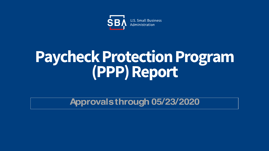

# **Paycheck Protection Program (PPP) Report**

**Approvals through 05/23/2020**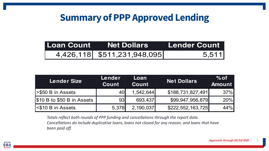# **Summary of PPP Approved Lending**

| <b>Loan Count Net Dollars</b>            | <b>Lender Count</b> |  |
|------------------------------------------|---------------------|--|
| $\overline{4,426,118}$ \$511,231,948,095 | 5,511               |  |

| <b>Lender Size</b>         | Lender<br><b>Count</b> | Loan<br><b>Count</b> | <b>Net Dollars</b> | $%$ of<br><b>Amount</b> |
|----------------------------|------------------------|----------------------|--------------------|-------------------------|
| <b>S50 B in Assets</b>     | 40                     | 1,542,644            | \$188,731,827,491  | 37%                     |
| \$10 B to \$50 B in Assets | 93                     | 693,437              | \$99,947,956,879   | 20%                     |
| <b>S10 B in Assets</b>     | 5,378                  | 2,190,037            | \$222,552,163,725  | 44%                     |

*Totals reflect both rounds of PPP funding and cancellations through the report date. Cancellations do include duplicative loans, loans not closed for any reason, and loans that have been paid off.*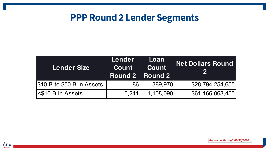## **PPP Round 2 Lender Segments**

| <b>Lender Size</b>         | Lender<br><b>Count</b> | Loan<br>Count<br><b>Round 2 Round 2</b> | <b>Net Dollars Round</b> |
|----------------------------|------------------------|-----------------------------------------|--------------------------|
| \$10 B to \$50 B in Assets | 861                    | 389,970                                 | \$28,794,254,655         |
| <b>S10 B in Assets</b>     | 5,241                  | 1,108,090                               | \$61,166,068,455         |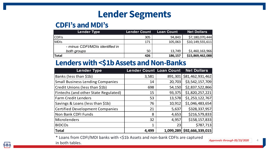## **Lender Segments**

#### **CDFI's and MDI's**

| <b>Lender Type</b>              | <b>Lender Count</b> | <b>Loan Count</b> | <b>Net Dollars</b> |
|---------------------------------|---------------------|-------------------|--------------------|
| <b>CDFIs</b>                    | 305                 | 94,843            | \$7,180,070,444    |
| MDIS                            | 171                 | 105,063           | \$10,149,555,611   |
| - minus CDFI/MDIs identified in |                     |                   |                    |
| both groups                     | 50                  | 13,749            | \$1,460,163,966    |
| <b>Total</b>                    | 426                 | 186,157           | \$15,869,462,088   |

#### **Lenders with <\$1b Assets and Non-Banks**

| <b>Lender Type</b>                      | <b>Lender Count Loan Count</b> |           | <b>Net Dollars</b> |
|-----------------------------------------|--------------------------------|-----------|--------------------|
| Banks (less than \$1b)                  | 3,581                          | 891,301   | \$81,462,931,462   |
| <b>Small Business Lending Companies</b> | 14                             | 20,703    | \$3,542,157,709    |
| Credit Unions (less than \$1b)          | 698                            | 54,150    | \$2,837,522,866    |
| Fintechs (and other State Regulated)    | 15                             | 93,375    | \$1,820,257,221    |
| <b>Farm Credit Lenders</b>              | 53                             | 13,578    | \$1,253,122,767    |
| Savings & Loans (less than \$1b)        | 76                             | 10,912    | \$1,046,483,654    |
| <b>Certified Development Companies</b>  | 21                             | 5,637     | \$328,337,957      |
| Non Bank CDFI Funds                     | 8                              | 4,653     | \$216,579,833      |
| Microlenders                            | 32                             | 4,957     | \$158,157,833      |
| <b>BIDCOS</b>                           | 1                              | 23        | \$787,713          |
| <b>Total</b>                            | 4,499                          | 1,099,289 | \$92,666,339,015   |

\* Loans from CDFI/MDI banks with <\$1b Assets and non-bank CDFIs are captured in both tables.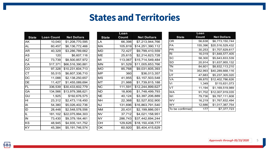## **States and Territories**

| <b>State</b> | Loan Count | <b>Net Dollars</b> |
|--------------|------------|--------------------|
| AΚ           | 10,040     | \$1,208,770,595    |
| AL           | 60,457     | \$6,136,772,466    |
| AR           | 40,329     | \$3,286,789,662    |
| AS           | 120        | \$6,607,116        |
| AZ           | 73,739     | \$8,500,857,972    |
| CA           | 517,371    | \$66,516,390,881   |
| CO           | 97,328     | \$10,231,604,713   |
| СT           | 55,515     | \$6,607,336,710    |
| DC           | 11,088     | \$2,138,250,657    |
| DE           | 11,427     | \$1,455,089,694    |
| FL           | 336,539    | \$30,433,602,779   |
| GA           | 134,566    | \$13,979,388,621   |
| GU           | 1,925      | \$192,676,575      |
| HI           | 23,312     | \$2,473,118,450    |
| IA           | 54,380     | \$5,026,402,736    |
| ID           | 28,448     | \$2,548,578,556    |
| IL           | 181,102    | \$22,075,994,303   |
| IN           | 73,430     | \$9,379,164,461    |
| ΚS           | 48,945     | \$4,935,141,752    |
| ΚY           | 45,384     | \$5,191,746,574    |

|              | Loan    |                    |
|--------------|---------|--------------------|
| <b>State</b> | Count   | <b>Net Dollars</b> |
| LA           | 66,398  | \$7,213,944,766    |
| MА           | 105,819 | \$14,251,390,112   |
| MD           | 72,427  | \$9,799,410,559    |
| МE           | 25,615  | \$2,214,623,728    |
| МΙ           | 113,067 | \$15,714,549,484   |
| MN           | 91,529  | \$11,005,653,766   |
| MO           | 85,768  | \$9,031,605,393    |
| МP           | 360     | \$36,013,357       |
| MS           | 41,955  | \$3,157,503,548    |
| мт           | 21,988  | \$1,739,815,188    |
| ΝC           | 111,591 | \$12,244,899,627   |
| ND           | 18,806  | \$1,748,499,793    |
| NE           | 40,124  | \$3,397,206,889    |
| NΗ           | 22,368  | \$2,527,832,900    |
| NJ           | 131,696 | \$16,863,791,540   |
| NΜ           | 20,431  | \$2,199,886,051    |
| NV           | 37,712  | \$4,021,158,951    |
| NY           | 286,743 | \$37,442,694,244   |
| OН           | 129,626 | \$18,150,438,777   |
| OK           | 60,920  | \$5,404,415,629    |

|                 | Loan    |                    |
|-----------------|---------|--------------------|
| <b>State</b>    | Count   | <b>Net Dollars</b> |
| OR              | 56,638  | \$6,773,150,744    |
| PА              | 155,396 | \$20,516,529,432   |
| PR              | 30,253  | \$1,707,629,617    |
| RI              | 16,019  | \$1,848,577,405    |
| SC              | 58,300  | \$5,643,833,539    |
| SD              | 20,914  | \$1,637,955,132    |
| TN              | 84,601  | \$8,832,113,210    |
| ТX              | 352,993 | \$40,289,668,116   |
| UT              | 47,683  | \$5,237,305,020    |
| VA              | 99,870  | \$12,402,786,626   |
| VI              | 1,349   | \$115,631,073      |
| VT              | 11,194  | \$1,169,519,989    |
| WA              | 91,702  | \$12,007,919,035   |
| WI              | 79,736  | \$9,767,111,608    |
| wv              | 16,219  | \$1,767,832,494    |
| WY              | 12,686  | \$1,017,387,754    |
| To be confirmed | 177     | \$7,377,723        |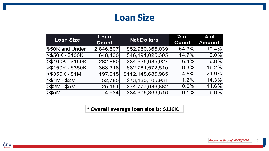### **Loan Size**

| <b>Loan Size</b>  | Loan      | <b>Net Dollars</b> | $%$ of | $%$ of        |
|-------------------|-----------|--------------------|--------|---------------|
|                   | Count     |                    | Count  | <b>Amount</b> |
| \$50K and Under   | 2,846,607 | \$52,960,366,039   | 64.3%  | 10.4%         |
| $> $50K - $100K$  | 648,430   | \$46,191,025,305   | 14.7%  | $9.0\%$       |
| $> $100K - $150K$ | 282,880   | \$34,635,685,927   | 6.4%   | 6.8%          |
| >\$150K - \$350K  | 368,316   | \$82,781,572,510   | 8.3%   | 16.2%         |
| $> $350K - $1M$   | 197,015   | \$112,148,685,985  | 4.5%   | 21.9%         |
| $> $1M - $2M$     | 52,785    | \$73,130,105,931   | 1.2%   | 14.3%         |
| -\$2M - \$5M      | 25,151    | \$74,777,636,882   | 0.6%   | 14.6%         |
| > \$5M            | 4,934     | \$34,606,869,516   | 0.1%   | 6.8%          |

**\* Overall average loan size is: \$116K.**